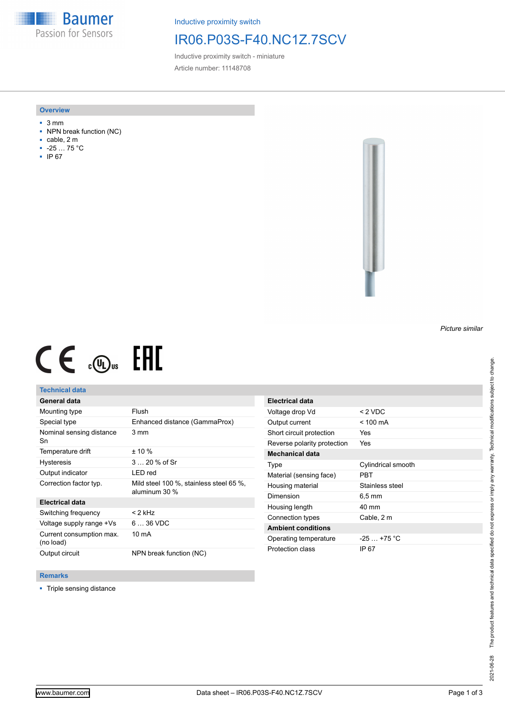**Baumer** Passion for Sensors

Inductive proximity switch

# IR06.P03S-F40.NC1Z.7SCV

Inductive proximity switch - miniature Article number: 11148708

#### **Overview**

- 3 mm
- NPN break function (NC)
- cable, 2 m
- -25 … 75 °C
- IP 67



# $CE \mathcal{L}$  ( $\mathcal{L}$  and  $SE$

## **Technical data**

## **General data**

| Mounting type                         | Flush                                                      |
|---------------------------------------|------------------------------------------------------------|
| Special type                          | Enhanced distance (GammaProx)                              |
| Nominal sensing distance<br>Sn        | 3 mm                                                       |
| Temperature drift                     | $± 10 \%$                                                  |
| <b>Hysteresis</b>                     | 3  20 % of Sr                                              |
| Output indicator                      | LED red                                                    |
| Correction factor typ.                | Mild steel 100 %, stainless steel 65 %,<br>aluminum $30\%$ |
| <b>Electrical data</b>                |                                                            |
| Switching frequency                   | $<$ 2 kHz                                                  |
| Voltage supply range +Vs              | $636$ VDC                                                  |
| Current consumption max.<br>(no load) | 10 mA                                                      |
| Output circuit                        | NPN break function (NC)                                    |

| $< 2$ VDC          |
|--------------------|
| $<$ 100 mA         |
| Yes                |
| Yes                |
|                    |
| Cylindrical smooth |
| PBT                |
| Stainless steel    |
| 6.5 mm             |
| 40 mm              |
| Cable, 2 m         |
|                    |
| $-25$ $+75$ °C     |
| IP 67              |
|                    |

### **Remarks**

■ Triple sensing distance

*Picture similar*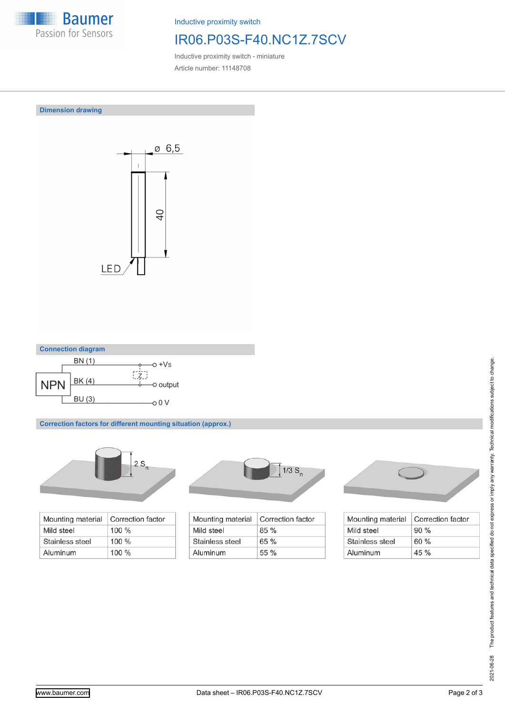

Inductive proximity switch

# IR06.P03S-F40.NC1Z.7SCV

Inductive proximity switch - miniature Article number: 11148708

**Dimension drawing**





**Correction factors for different mounting situation (approx.)**



| Mounting material | Correction factor |
|-------------------|-------------------|
| Mild steel        | $100 \%$          |
| Stainless steel   | $100 \%$          |
| Aluminum          | $100\%$           |



| Mounting material | Correction factor |
|-------------------|-------------------|
| Mild steel        | 85%               |
| Stainless steel   | 65%               |
| Aluminum          | $55\%$            |



| Mounting material | Correction factor |
|-------------------|-------------------|
| Mild steel        | 90%               |
| Stainless steel   | 60%               |
| Aluminum          | $45 \%$           |